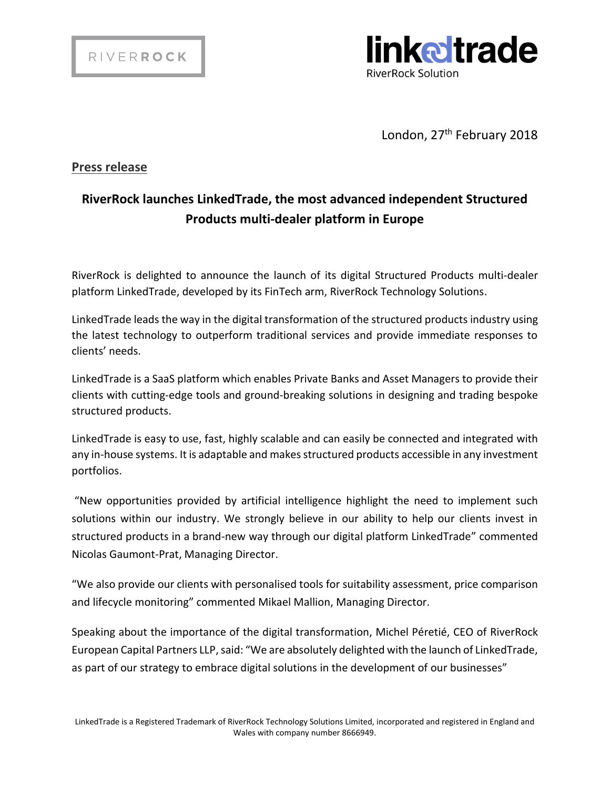

London, 27<sup>th</sup> February 2018

## **Press release**

## **RiverRock launches LinkedTrade, the most advanced independent Structured Products multi-dealer platform in Europe**

RiverRock is delighted to announce the launch of its digital Structured Products multi-dealer platform LinkedTrade, developed by its FinTech arm, RiverRock Technology Solutions.

LinkedTrade leads the way in the digital transformation of the structured products industry using the latest technology to outperform traditional services and provide immediate responses to clients' needs.

LinkedTrade is a SaaS platform which enables Private Banks and Asset Managers to provide their clients with cutting-edge tools and ground-breaking solutions in designing and trading bespoke structured products.

LinkedTrade is easy to use, fast, highly scalable and can easily be connected and integrated with any in-house systems. It is adaptable and makes structured products accessible in any investment portfolios.

"New opportunities provided by artificial intelligence highlight the need to implement such solutions within our industry. We strongly believe in our ability to help our clients invest in structured products in a brand-new way through our digital platform LinkedTrade" commented Nicolas Gaumont-Prat, Managing Director.

"We also provide our clients with personalised tools for suitability assessment, price comparison and lifecycle monitoring" commented Mikael Mallion, Managing Director.

Speaking about the importance of the digital transformation, Michel Péretié, CEO of RiverRock European Capital Partners LLP,said: "We are absolutely delighted with the launch of LinkedTrade, as part of our strategy to embrace digital solutions in the development of our businesses"